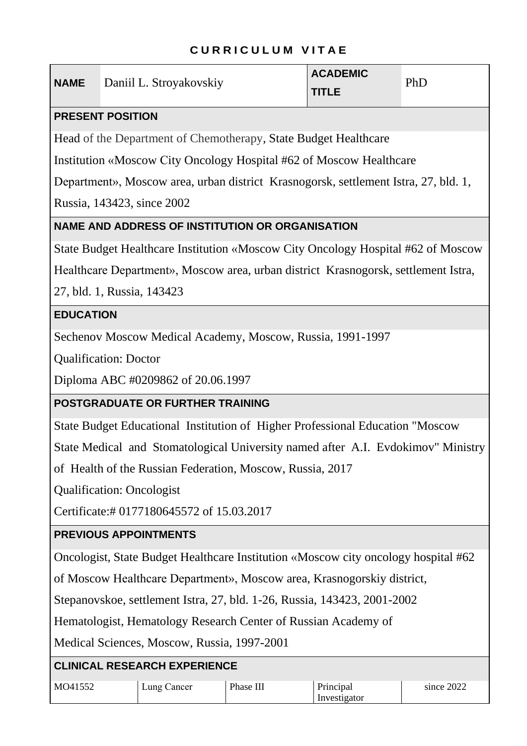## **C U R R I C U L U M V I T A E**

| <b>NAME</b>                                                                        | Daniil L. Stroyakovskiy                                                             | <b>ACADEMIC</b><br><b>TITLE</b> | PhD |  |  |
|------------------------------------------------------------------------------------|-------------------------------------------------------------------------------------|---------------------------------|-----|--|--|
|                                                                                    | <b>PRESENT POSITION</b>                                                             |                                 |     |  |  |
|                                                                                    | Head of the Department of Chemotherapy, State Budget Healthcare                     |                                 |     |  |  |
|                                                                                    | Institution «Moscow City Oncology Hospital #62 of Moscow Healthcare                 |                                 |     |  |  |
|                                                                                    | Department», Moscow area, urban district Krasnogorsk, settlement Istra, 27, bld. 1, |                                 |     |  |  |
|                                                                                    | Russia, 143423, since 2002                                                          |                                 |     |  |  |
|                                                                                    | <b>NAME AND ADDRESS OF INSTITUTION OR ORGANISATION</b>                              |                                 |     |  |  |
| State Budget Healthcare Institution «Moscow City Oncology Hospital #62 of Moscow   |                                                                                     |                                 |     |  |  |
| Healthcare Department», Moscow area, urban district Krasnogorsk, settlement Istra, |                                                                                     |                                 |     |  |  |
| 27, bld. 1, Russia, 143423                                                         |                                                                                     |                                 |     |  |  |
| <b>EDUCATION</b>                                                                   |                                                                                     |                                 |     |  |  |
| Sechenov Moscow Medical Academy, Moscow, Russia, 1991-1997                         |                                                                                     |                                 |     |  |  |
| <b>Qualification: Doctor</b>                                                       |                                                                                     |                                 |     |  |  |
| Diploma ABC #0209862 of 20.06.1997                                                 |                                                                                     |                                 |     |  |  |
| POSTGRADUATE OR FURTHER TRAINING                                                   |                                                                                     |                                 |     |  |  |
| State Budget Educational Institution of Higher Professional Education "Moscow      |                                                                                     |                                 |     |  |  |
| State Medical and Stomatological University named after A.I. Evdokimov" Ministry   |                                                                                     |                                 |     |  |  |
| of Health of the Russian Federation, Moscow, Russia, 2017                          |                                                                                     |                                 |     |  |  |
| <b>Qualification: Oncologist</b>                                                   |                                                                                     |                                 |     |  |  |
| Certificate:#0177180645572 of 15.03.2017                                           |                                                                                     |                                 |     |  |  |
| <b>PREVIOUS APPOINTMENTS</b>                                                       |                                                                                     |                                 |     |  |  |
| Oncologist, State Budget Healthcare Institution «Moscow city oncology hospital #62 |                                                                                     |                                 |     |  |  |
| of Moscow Healthcare Department», Moscow area, Krasnogorskiy district,             |                                                                                     |                                 |     |  |  |
| Stepanovskoe, settlement Istra, 27, bld. 1-26, Russia, 143423, 2001-2002           |                                                                                     |                                 |     |  |  |
| Hematologist, Hematology Research Center of Russian Academy of                     |                                                                                     |                                 |     |  |  |
|                                                                                    |                                                                                     |                                 |     |  |  |

Medical Sciences, Moscow, Russia, 1997-2001

## **CLINICAL RESEARCH EXPERIENCE**

| MO41552 | $\text{Lung}$<br>Cancer | Phase<br>Ш | Principal    | 2022<br>since |
|---------|-------------------------|------------|--------------|---------------|
|         |                         |            | Investigator |               |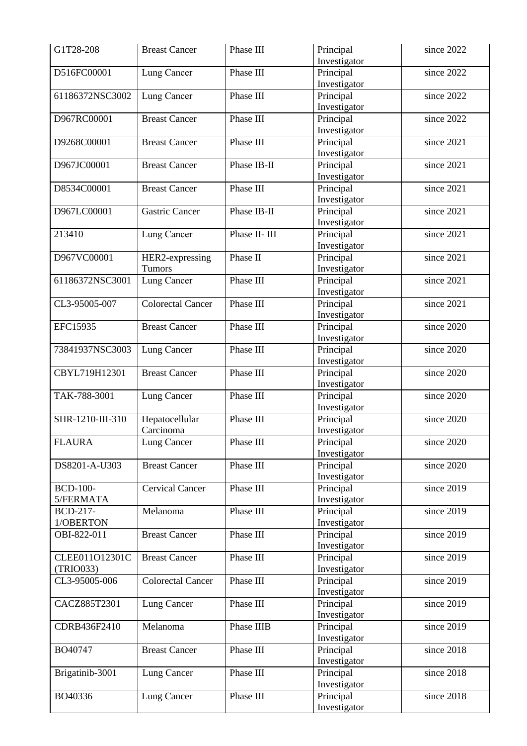| G1T28-208        | <b>Breast Cancer</b>     | Phase III     | Principal    | since 2022 |
|------------------|--------------------------|---------------|--------------|------------|
|                  |                          |               | Investigator |            |
| D516FC00001      | Lung Cancer              | Phase III     | Principal    | since 2022 |
|                  |                          |               | Investigator |            |
| 61186372NSC3002  | Lung Cancer              | Phase III     | Principal    | since 2022 |
|                  |                          |               | Investigator |            |
| D967RC00001      | <b>Breast Cancer</b>     | Phase III     | Principal    | since 2022 |
|                  |                          |               | Investigator |            |
| D9268C00001      | <b>Breast Cancer</b>     | Phase III     | Principal    | since 2021 |
|                  |                          |               | Investigator |            |
|                  |                          | Phase IB-II   |              | since 2021 |
| D967JC00001      | <b>Breast Cancer</b>     |               | Principal    |            |
|                  |                          |               | Investigator |            |
| D8534C00001      | <b>Breast Cancer</b>     | Phase III     | Principal    | since 2021 |
|                  |                          |               | Investigator |            |
| D967LC00001      | <b>Gastric Cancer</b>    | Phase IB-II   | Principal    | since 2021 |
|                  |                          |               | Investigator |            |
| 213410           | Lung Cancer              | Phase II- III | Principal    | since 2021 |
|                  |                          |               | Investigator |            |
| D967VC00001      | HER2-expressing          | Phase II      | Principal    | since 2021 |
|                  | Tumors                   |               | Investigator |            |
|                  |                          |               |              |            |
| 61186372NSC3001  | Lung Cancer              | Phase III     | Principal    | since 2021 |
|                  |                          |               | Investigator |            |
| CL3-95005-007    | <b>Colorectal Cancer</b> | Phase III     | Principal    | since 2021 |
|                  |                          |               | Investigator |            |
| EFC15935         | <b>Breast Cancer</b>     | Phase III     | Principal    | since 2020 |
|                  |                          |               | Investigator |            |
| 73841937NSC3003  | Lung Cancer              | Phase III     | Principal    | since 2020 |
|                  |                          |               | Investigator |            |
| CBYL719H12301    | <b>Breast Cancer</b>     | Phase III     | Principal    | since 2020 |
|                  |                          |               | Investigator |            |
|                  |                          | Phase III     |              |            |
| TAK-788-3001     | Lung Cancer              |               | Principal    | since 2020 |
|                  |                          |               | Investigator |            |
| SHR-1210-III-310 | Hepatocellular           | Phase III     | Principal    | since 2020 |
|                  | Carcinoma                |               | Investigator |            |
| <b>FLAURA</b>    | Lung Cancer              | Phase III     | Principal    | since 2020 |
|                  |                          |               | Investigator |            |
| DS8201-A-U303    | <b>Breast Cancer</b>     | Phase III     | Principal    | since 2020 |
|                  |                          |               | Investigator |            |
| <b>BCD-100-</b>  | <b>Cervical Cancer</b>   | Phase III     | Principal    | since 2019 |
| 5/FERMATA        |                          |               | Investigator |            |
| BCD-217-         |                          | Phase III     |              |            |
|                  | Melanoma                 |               | Principal    | since 2019 |
| 1/OBERTON        |                          |               | Investigator |            |
| OBI-822-011      | <b>Breast Cancer</b>     | Phase III     | Principal    | since 2019 |
|                  |                          |               | Investigator |            |
| CLEE011O12301C   | <b>Breast Cancer</b>     | Phase III     | Principal    | since 2019 |
| (TRIO033)        |                          |               | Investigator |            |
| CL3-95005-006    | <b>Colorectal Cancer</b> | Phase III     | Principal    | since 2019 |
|                  |                          |               | Investigator |            |
| CACZ885T2301     | Lung Cancer              | Phase III     | Principal    | since 2019 |
|                  |                          |               | Investigator |            |
| CDRB436F2410     | Melanoma                 | Phase IIIB    |              | since 2019 |
|                  |                          |               | Principal    |            |
|                  |                          |               | Investigator |            |
| BO40747          | <b>Breast Cancer</b>     | Phase III     | Principal    | since 2018 |
|                  |                          |               | Investigator |            |
| Brigatinib-3001  | Lung Cancer              | Phase III     | Principal    | since 2018 |
|                  |                          |               | Investigator |            |
| BO40336          | Lung Cancer              | Phase III     | Principal    | since 2018 |
|                  |                          |               | Investigator |            |
|                  |                          |               |              |            |